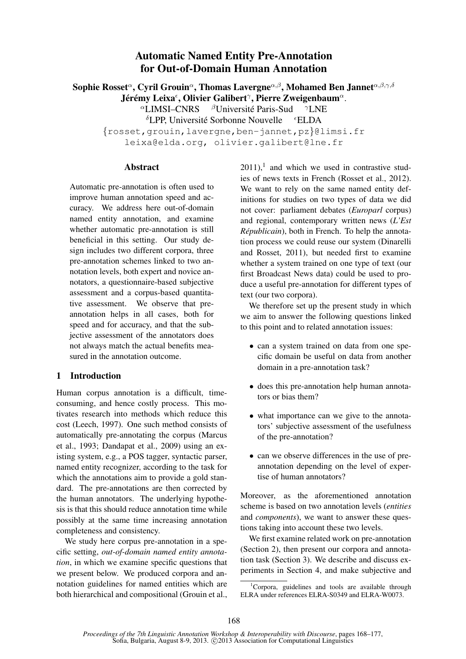# Automatic Named Entity Pre-Annotation for Out-of-Domain Human Annotation

Sophie Rosset $^\alpha$ , Cyril Grouin $^\alpha$ , Thomas Lavergne $^{\alpha,\beta},$  Mohamed Ben Jannet $^{\alpha,\beta,\gamma,\delta}$ Jérémy Leixa<sup>€</sup>, Olivier Galibert<sup>γ</sup>, Pierre Zweigenbaum<sup>α</sup>.

 ${}^{\alpha}$ LIMSI–CNRS  ${}^{\beta}$ Université Paris-Sud  ${}^{\gamma}$ LNE

 $\delta$ LPP, Université Sorbonne Nouvelle  $\epsilon$ ELDA

{rosset,grouin,lavergne,ben-jannet,pz}@limsi.fr leixa@elda.org, olivier.galibert@lne.fr

#### Abstract

Automatic pre-annotation is often used to improve human annotation speed and accuracy. We address here out-of-domain named entity annotation, and examine whether automatic pre-annotation is still beneficial in this setting. Our study design includes two different corpora, three pre-annotation schemes linked to two annotation levels, both expert and novice annotators, a questionnaire-based subjective assessment and a corpus-based quantitative assessment. We observe that preannotation helps in all cases, both for speed and for accuracy, and that the subjective assessment of the annotators does not always match the actual benefits measured in the annotation outcome.

# 1 Introduction

Human corpus annotation is a difficult, timeconsuming, and hence costly process. This motivates research into methods which reduce this cost (Leech, 1997). One such method consists of automatically pre-annotating the corpus (Marcus et al., 1993; Dandapat et al., 2009) using an existing system, e.g., a POS tagger, syntactic parser, named entity recognizer, according to the task for which the annotations aim to provide a gold standard. The pre-annotations are then corrected by the human annotators. The underlying hypothesis is that this should reduce annotation time while possibly at the same time increasing annotation completeness and consistency.

We study here corpus pre-annotation in a specific setting, *out-of-domain named entity annotation*, in which we examine specific questions that we present below. We produced corpora and annotation guidelines for named entities which are both hierarchical and compositional (Grouin et al.,

 $2011$ ,<sup>1</sup> and which we used in contrastive studies of news texts in French (Rosset et al., 2012). We want to rely on the same named entity definitions for studies on two types of data we did not cover: parliament debates (*Europarl* corpus) and regional, contemporary written news (*L'Est Républicain*), both in French. To help the annotation process we could reuse our system (Dinarelli and Rosset, 2011), but needed first to examine whether a system trained on one type of text (our first Broadcast News data) could be used to produce a useful pre-annotation for different types of text (our two corpora).

We therefore set up the present study in which we aim to answer the following questions linked to this point and to related annotation issues:

- can a system trained on data from one specific domain be useful on data from another domain in a pre-annotation task?
- does this pre-annotation help human annotators or bias them?
- what importance can we give to the annotators' subjective assessment of the usefulness of the pre-annotation?
- can we observe differences in the use of preannotation depending on the level of expertise of human annotators?

Moreover, as the aforementioned annotation scheme is based on two annotation levels (*entities* and *components*), we want to answer these questions taking into account these two levels.

We first examine related work on pre-annotation (Section 2), then present our corpora and annotation task (Section 3). We describe and discuss experiments in Section 4, and make subjective and

 $1^1$ Corpora, guidelines and tools are available through ELRA under references ELRA-S0349 and ELRA-W0073.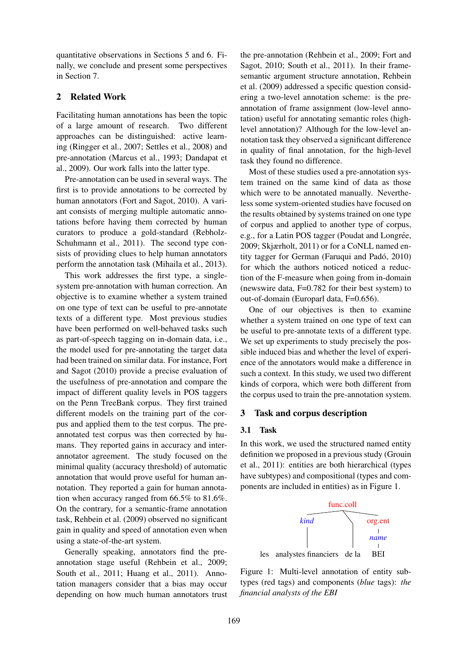quantitative observations in Sections 5 and 6. Finally, we conclude and present some perspectives in Section 7.

### 2 Related Work

Facilitating human annotations has been the topic of a large amount of research. Two different approaches can be distinguished: active learning (Ringger et al., 2007; Settles et al., 2008) and pre-annotation (Marcus et al., 1993; Dandapat et al., 2009). Our work falls into the latter type.

Pre-annotation can be used in several ways. The first is to provide annotations to be corrected by human annotators (Fort and Sagot, 2010). A variant consists of merging multiple automatic annotations before having them corrected by human curators to produce a gold-standard (Rebholz-Schuhmann et al., 2011). The second type consists of providing clues to help human annotators perform the annotation task (Mihaila et al., 2013).

This work addresses the first type, a singlesystem pre-annotation with human correction. An objective is to examine whether a system trained on one type of text can be useful to pre-annotate texts of a different type. Most previous studies have been performed on well-behaved tasks such as part-of-speech tagging on in-domain data, i.e., the model used for pre-annotating the target data had been trained on similar data. For instance, Fort and Sagot (2010) provide a precise evaluation of the usefulness of pre-annotation and compare the impact of different quality levels in POS taggers on the Penn TreeBank corpus. They first trained different models on the training part of the corpus and applied them to the test corpus. The preannotated test corpus was then corrected by humans. They reported gains in accuracy and interannotator agreement. The study focused on the minimal quality (accuracy threshold) of automatic annotation that would prove useful for human annotation. They reported a gain for human annotation when accuracy ranged from 66.5% to 81.6%. On the contrary, for a semantic-frame annotation task, Rehbein et al. (2009) observed no significant gain in quality and speed of annotation even when using a state-of-the-art system.

Generally speaking, annotators find the preannotation stage useful (Rehbein et al., 2009; South et al., 2011; Huang et al., 2011). Annotation managers consider that a bias may occur depending on how much human annotators trust

the pre-annotation (Rehbein et al., 2009; Fort and Sagot, 2010; South et al., 2011). In their framesemantic argument structure annotation, Rehbein et al. (2009) addressed a specific question considering a two-level annotation scheme: is the preannotation of frame assignment (low-level annotation) useful for annotating semantic roles (highlevel annotation)? Although for the low-level annotation task they observed a significant difference in quality of final annotation, for the high-level task they found no difference.

Most of these studies used a pre-annotation system trained on the same kind of data as those which were to be annotated manually. Nevertheless some system-oriented studies have focused on the results obtained by systems trained on one type of corpus and applied to another type of corpus, e.g., for a Latin POS tagger (Poudat and Longrée, 2009; Skjærholt, 2011) or for a CoNLL named entity tagger for German (Faruqui and Padó, 2010) for which the authors noticed noticed a reduction of the F-measure when going from in-domain (newswire data, F=0.782 for their best system) to out-of-domain (Europarl data, F=0.656).

One of our objectives is then to examine whether a system trained on one type of text can be useful to pre-annotate texts of a different type. We set up experiments to study precisely the possible induced bias and whether the level of experience of the annotators would make a difference in such a context. In this study, we used two different kinds of corpora, which were both different from the corpus used to train the pre-annotation system.

# 3 Task and corpus description

#### 3.1 Task

In this work, we used the structured named entity definition we proposed in a previous study (Grouin et al., 2011): entities are both hierarchical (types have subtypes) and compositional (types and components are included in entities) as in Figure 1.



Figure 1: Multi-level annotation of entity subtypes (red tags) and components (*blue* tags): *the financial analysts of the EBI*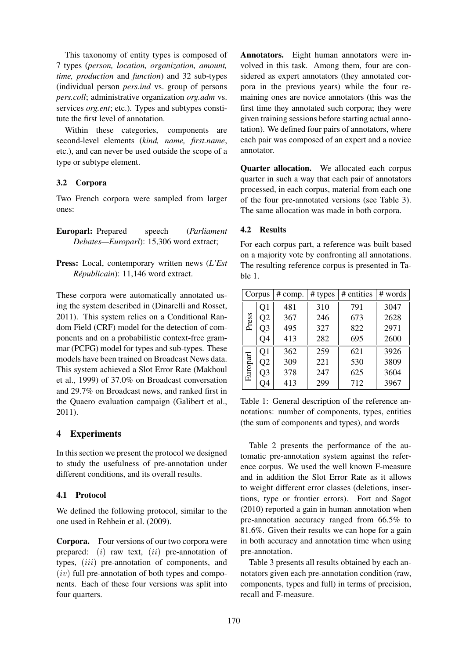This taxonomy of entity types is composed of 7 types (*person, location, organization, amount, time, production* and *function*) and 32 sub-types (individual person *pers.ind* vs. group of persons *pers.coll*; administrative organization *org.adm* vs. services *org.ent*; etc.). Types and subtypes constitute the first level of annotation.

Within these categories, components are second-level elements (*kind, name, first.name*, etc.), and can never be used outside the scope of a type or subtype element.

# 3.2 Corpora

Two French corpora were sampled from larger ones:

- Europarl: Prepared speech (*Parliament Debates—Europarl*): 15,306 word extract;
- Press: Local, contemporary written news (*L'Est Républicain*): 11,146 word extract.

These corpora were automatically annotated using the system described in (Dinarelli and Rosset, 2011). This system relies on a Conditional Random Field (CRF) model for the detection of components and on a probabilistic context-free grammar (PCFG) model for types and sub-types. These models have been trained on Broadcast News data. This system achieved a Slot Error Rate (Makhoul et al., 1999) of 37.0% on Broadcast conversation and 29.7% on Broadcast news, and ranked first in the Quaero evaluation campaign (Galibert et al., 2011).

# 4 Experiments

In this section we present the protocol we designed to study the usefulness of pre-annotation under different conditions, and its overall results.

# 4.1 Protocol

We defined the following protocol, similar to the one used in Rehbein et al. (2009).

Corpora. Four versions of our two corpora were prepared:  $(i)$  raw text,  $(ii)$  pre-annotation of types, *(iii)* pre-annotation of components, and  $(iv)$  full pre-annotation of both types and components. Each of these four versions was split into four quarters.

Annotators. Eight human annotators were involved in this task. Among them, four are considered as expert annotators (they annotated corpora in the previous years) while the four remaining ones are novice annotators (this was the first time they annotated such corpora; they were given training sessions before starting actual annotation). We defined four pairs of annotators, where each pair was composed of an expert and a novice annotator.

Quarter allocation. We allocated each corpus quarter in such a way that each pair of annotators processed, in each corpus, material from each one of the four pre-annotated versions (see Table 3). The same allocation was made in both corpora.

# 4.2 Results

For each corpus part, a reference was built based on a majority vote by confronting all annotations. The resulting reference corpus is presented in Table 1.

|          | Corpus         | # comp. | # types | # entities | # words |
|----------|----------------|---------|---------|------------|---------|
|          | Q1             | 481     | 310     | 791        | 3047    |
| Press    | Q2             | 367     | 246     | 673        | 2628    |
|          | Q <sub>3</sub> | 495     | 327     | 822        | 2971    |
|          | O4             | 413     | 282     | 695        | 2600    |
|          | Q1             | 362     | 259     | 621        | 3926    |
|          | Q2             | 309     | 221     | 530        | 3809    |
| Europarl | Q <sub>3</sub> | 378     | 247     | 625        | 3604    |
|          | )4             | 413     | 299     | 712        | 3967    |

Table 1: General description of the reference annotations: number of components, types, entities (the sum of components and types), and words

Table 2 presents the performance of the automatic pre-annotation system against the reference corpus. We used the well known F-measure and in addition the Slot Error Rate as it allows to weight different error classes (deletions, insertions, type or frontier errors). Fort and Sagot (2010) reported a gain in human annotation when pre-annotation accuracy ranged from 66.5% to 81.6%. Given their results we can hope for a gain in both accuracy and annotation time when using pre-annotation.

Table 3 presents all results obtained by each annotators given each pre-annotation condition (raw, components, types and full) in terms of precision, recall and F-measure.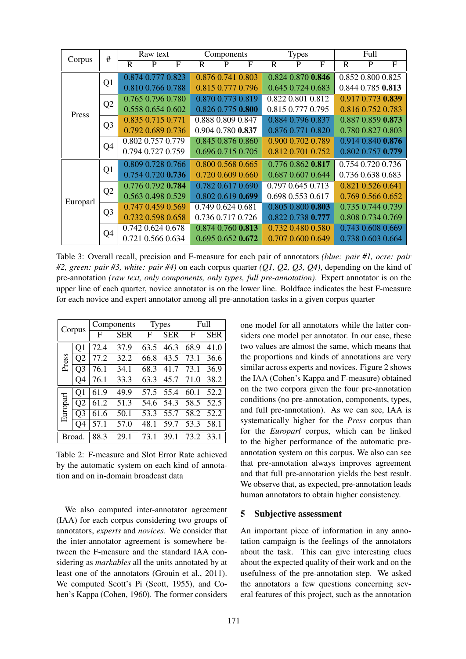| Corpus   | #              | Raw text    |                   |   | Components |                   | <b>Types</b> |   | Full              |                   |              |                   |                   |
|----------|----------------|-------------|-------------------|---|------------|-------------------|--------------|---|-------------------|-------------------|--------------|-------------------|-------------------|
|          |                | $\mathbf R$ | P                 | F | R          | P                 | F            | R | P                 | F                 | $\mathbb{R}$ | P                 | $\mathbf{F}$      |
|          | Q1             |             | 0.874 0.777 0.823 |   |            | 0.876 0.741 0.803 |              |   |                   | 0.824 0.870 0.846 |              | 0.852 0.800 0.825 |                   |
|          |                |             | 0.810 0.766 0.788 |   |            | 0.815 0.777 0.796 |              |   | 0.645 0.724 0.683 |                   |              | 0.844 0.785 0.813 |                   |
|          | Q2             |             | 0.765 0.796 0.780 |   |            | 0.870 0.773 0.819 |              |   | 0.822 0.801 0.812 |                   |              |                   | 0.917 0.773 0.839 |
| Press    |                |             | 0.558 0.654 0.602 |   |            | 0.826 0.775 0.800 |              |   | 0.815 0.777 0.795 |                   |              | 0.816 0.752 0.783 |                   |
|          | Q <sub>3</sub> |             | 0.835 0.715 0.771 |   |            | 0.888 0.809 0.847 |              |   | 0.884 0.796 0.837 |                   |              |                   | 0.887 0.859 0.873 |
|          |                |             | 0.792 0.689 0.736 |   |            | 0.904 0.780 0.837 |              |   | 0.876 0.771 0.820 |                   |              | 0.780 0.827 0.803 |                   |
|          | Q <sub>4</sub> |             | 0.802 0.757 0.779 |   |            | 0.845 0.876 0.860 |              |   | 0.900 0.702 0.789 |                   |              |                   | 0.914 0.840 0.876 |
|          |                |             | 0.794 0.727 0.759 |   |            | 0.696 0.715 0.705 |              |   | 0.812 0.701 0.752 |                   |              | 0.802 0.757 0.779 |                   |
|          | Q <sub>1</sub> |             | 0.809 0.728 0.766 |   |            | 0.800 0.568 0.665 |              |   | 0.776 0.862 0.817 |                   |              | 0.754 0.720 0.736 |                   |
|          |                |             | 0.754 0.720 0.736 |   |            | 0.720 0.609 0.660 |              |   | 0.687 0.607 0.644 |                   |              | 0.736 0.638 0.683 |                   |
|          |                |             | 0.776 0.792 0.784 |   |            | 0.782 0.617 0.690 |              |   | 0.797 0.645 0.713 |                   |              | 0.821 0.526 0.641 |                   |
| Europarl | Q2             |             | 0.563 0.498 0.529 |   |            | 0.802 0.619 0.699 |              |   | 0.698 0.553 0.617 |                   |              |                   | 0.769 0.566 0.652 |
|          | Q <sub>3</sub> |             | 0.747 0.459 0.569 |   |            | 0.749 0.624 0.681 |              |   | 0.805 0.800 0.803 |                   |              |                   | 0.735 0.744 0.739 |
|          |                |             | 0.732 0.598 0.658 |   |            | 0.736 0.717 0.726 |              |   | 0.822 0.738 0.777 |                   |              |                   | 0.808 0.734 0.769 |
|          | Q <sub>4</sub> |             | 0.742 0.624 0.678 |   |            | 0.874 0.760 0.813 |              |   | 0.732 0.480 0.580 |                   |              | 0.743 0.608 0.669 |                   |
|          |                |             | 0.721 0.566 0.634 |   |            | 0.695 0.652 0.672 |              |   | 0.707 0.600 0.649 |                   |              |                   | 0.738 0.603 0.664 |

Table 3: Overall recall, precision and F-measure for each pair of annotators *(blue: pair #1, ocre: pair #2, green: pair #3, white: pair #4)* on each corpus quarter *(Q1, Q2, Q3, Q4)*, depending on the kind of pre-annotation *(raw text, only components, only types, full pre-annotation)*. Expert annotator is on the upper line of each quarter, novice annotator is on the lower line. Boldface indicates the best F-measure for each novice and expert annotator among all pre-annotation tasks in a given corpus quarter

| Corpus   |                | Components |            | <b>Types</b> |            | Full |            |
|----------|----------------|------------|------------|--------------|------------|------|------------|
|          |                | F          | <b>SER</b> | F            | <b>SER</b> | F    | <b>SER</b> |
|          | O1             | 72.4       | 37.9       | 63.5         | 46.3       | 68.9 | 41.0       |
| Press    | Q <sub>2</sub> | 77.2       | 32.2       | 66.8         | 43.5       | 73.1 | 36.6       |
|          | Q3             | 76.1       | 34.1       | 68.3         | 41.7       | 73.1 | 36.9       |
|          | O4             | 76.1       | 33.3       | 63.3         | 45.7       | 71.0 | 38.2       |
|          | Q <sub>1</sub> | 61.9       | 49.9       | 57.5         | 55.4       | 60.1 | 52.2       |
|          | Q <sub>2</sub> | 61.2       | 51.3       | 54.6         | 54.3       | 58.5 | 52.5       |
| Europarl | Q3             | 61.6       | 50.1       | 53.3         | 55.7       | 58.2 | 52.2       |
|          | Q4             | 57.1       | 57.0       | 48.1         | 59.7       | 53.3 | 58.1       |
| Broad.   |                | 88.3       | 29.1       |              | 39.1       | 73.2 | 33.1       |

Table 2: F-measure and Slot Error Rate achieved by the automatic system on each kind of annotation and on in-domain broadcast data

We also computed inter-annotator agreement (IAA) for each corpus considering two groups of annotators, *experts* and *novices*. We consider that the inter-annotator agreement is somewhere between the F-measure and the standard IAA considering as *markables* all the units annotated by at least one of the annotators (Grouin et al., 2011). We computed Scott's Pi (Scott, 1955), and Cohen's Kappa (Cohen, 1960). The former considers

one model for all annotators while the latter considers one model per annotator. In our case, these two values are almost the same, which means that the proportions and kinds of annotations are very similar across experts and novices. Figure 2 shows the IAA (Cohen's Kappa and F-measure) obtained on the two corpora given the four pre-annotation conditions (no pre-annotation, components, types, and full pre-annotation). As we can see, IAA is systematically higher for the *Press* corpus than for the *Europarl* corpus, which can be linked to the higher performance of the automatic preannotation system on this corpus. We also can see that pre-annotation always improves agreement and that full pre-annotation yields the best result. We observe that, as expected, pre-annotation leads human annotators to obtain higher consistency.

#### 5 Subjective assessment

An important piece of information in any annotation campaign is the feelings of the annotators about the task. This can give interesting clues about the expected quality of their work and on the usefulness of the pre-annotation step. We asked the annotators a few questions concerning several features of this project, such as the annotation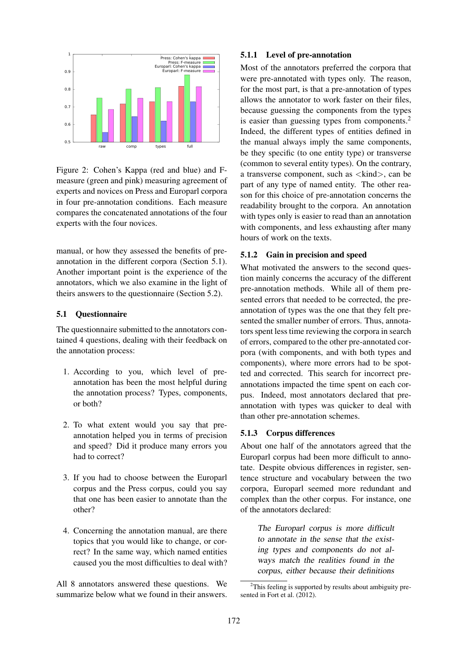

Figure 2: Cohen's Kappa (red and blue) and Fmeasure (green and pink) measuring agreement of experts and novices on Press and Europarl corpora in four pre-annotation conditions. Each measure compares the concatenated annotations of the four experts with the four novices.

manual, or how they assessed the benefits of preannotation in the different corpora (Section 5.1). Another important point is the experience of the annotators, which we also examine in the light of theirs answers to the questionnaire (Section 5.2).

#### 5.1 Questionnaire

The questionnaire submitted to the annotators contained 4 questions, dealing with their feedback on the annotation process:

- 1. According to you, which level of preannotation has been the most helpful during the annotation process? Types, components, or both?
- 2. To what extent would you say that preannotation helped you in terms of precision and speed? Did it produce many errors you had to correct?
- 3. If you had to choose between the Europarl corpus and the Press corpus, could you say that one has been easier to annotate than the other?
- 4. Concerning the annotation manual, are there topics that you would like to change, or correct? In the same way, which named entities caused you the most difficulties to deal with?

All 8 annotators answered these questions. We summarize below what we found in their answers.

## 5.1.1 Level of pre-annotation

Most of the annotators preferred the corpora that were pre-annotated with types only. The reason, for the most part, is that a pre-annotation of types allows the annotator to work faster on their files, because guessing the components from the types is easier than guessing types from components.<sup>2</sup> Indeed, the different types of entities defined in the manual always imply the same components, be they specific (to one entity type) or transverse (common to several entity types). On the contrary, a transverse component, such as  $\langle$ kind $\rangle$ , can be part of any type of named entity. The other reason for this choice of pre-annotation concerns the readability brought to the corpora. An annotation with types only is easier to read than an annotation with components, and less exhausting after many hours of work on the texts.

## 5.1.2 Gain in precision and speed

What motivated the answers to the second question mainly concerns the accuracy of the different pre-annotation methods. While all of them presented errors that needed to be corrected, the preannotation of types was the one that they felt presented the smaller number of errors. Thus, annotators spent less time reviewing the corpora in search of errors, compared to the other pre-annotated corpora (with components, and with both types and components), where more errors had to be spotted and corrected. This search for incorrect preannotations impacted the time spent on each corpus. Indeed, most annotators declared that preannotation with types was quicker to deal with than other pre-annotation schemes.

## 5.1.3 Corpus differences

About one half of the annotators agreed that the Europarl corpus had been more difficult to annotate. Despite obvious differences in register, sentence structure and vocabulary between the two corpora, Europarl seemed more redundant and complex than the other corpus. For instance, one of the annotators declared:

> The Europarl corpus is more difficult to annotate in the sense that the existing types and components do not always match the realities found in the corpus, either because their definitions

 $2$ This feeling is supported by results about ambiguity presented in Fort et al. (2012).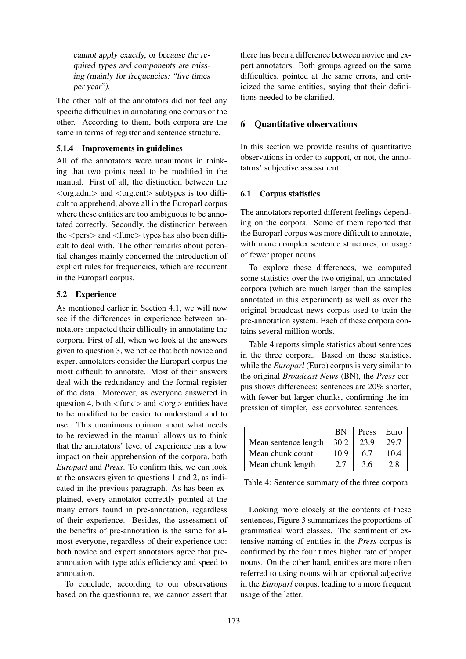cannot apply exactly, or because the required types and components are missing (mainly for frequencies: "five times per year").

The other half of the annotators did not feel any specific difficulties in annotating one corpus or the other. According to them, both corpora are the same in terms of register and sentence structure.

## 5.1.4 Improvements in guidelines

All of the annotators were unanimous in thinking that two points need to be modified in the manual. First of all, the distinction between the  $\langle \text{org}.\text{adm}\rangle$  and  $\langle \text{org}.\text{ent}\rangle$  subtypes is too difficult to apprehend, above all in the Europarl corpus where these entities are too ambiguous to be annotated correctly. Secondly, the distinction between the  $\langle pers \rangle$  and  $\langle func \rangle$  types has also been difficult to deal with. The other remarks about potential changes mainly concerned the introduction of explicit rules for frequencies, which are recurrent in the Europarl corpus.

# 5.2 Experience

As mentioned earlier in Section 4.1, we will now see if the differences in experience between annotators impacted their difficulty in annotating the corpora. First of all, when we look at the answers given to question 3, we notice that both novice and expert annotators consider the Europarl corpus the most difficult to annotate. Most of their answers deal with the redundancy and the formal register of the data. Moreover, as everyone answered in question 4, both  $\langle$  func $\rangle$  and  $\langle$  org $\rangle$  entities have to be modified to be easier to understand and to use. This unanimous opinion about what needs to be reviewed in the manual allows us to think that the annotators' level of experience has a low impact on their apprehension of the corpora, both *Europarl* and *Press*. To confirm this, we can look at the answers given to questions 1 and 2, as indicated in the previous paragraph. As has been explained, every annotator correctly pointed at the many errors found in pre-annotation, regardless of their experience. Besides, the assessment of the benefits of pre-annotation is the same for almost everyone, regardless of their experience too: both novice and expert annotators agree that preannotation with type adds efficiency and speed to annotation.

To conclude, according to our observations based on the questionnaire, we cannot assert that

there has been a difference between novice and expert annotators. Both groups agreed on the same difficulties, pointed at the same errors, and criticized the same entities, saying that their definitions needed to be clarified.

## 6 Quantitative observations

In this section we provide results of quantitative observations in order to support, or not, the annotators' subjective assessment.

## 6.1 Corpus statistics

The annotators reported different feelings depending on the corpora. Some of them reported that the Europarl corpus was more difficult to annotate, with more complex sentence structures, or usage of fewer proper nouns.

To explore these differences, we computed some statistics over the two original, un-annotated corpora (which are much larger than the samples annotated in this experiment) as well as over the original broadcast news corpus used to train the pre-annotation system. Each of these corpora contains several million words.

Table 4 reports simple statistics about sentences in the three corpora. Based on these statistics, while the *Europarl* (Euro) corpus is very similar to the original *Broadcast News* (BN), the *Press* corpus shows differences: sentences are 20% shorter, with fewer but larger chunks, confirming the impression of simpler, less convoluted sentences.

|                      | <b>BN</b> | Press | Euro |
|----------------------|-----------|-------|------|
| Mean sentence length | 30.2      | 23.9  | 29.7 |
| Mean chunk count     | 10.9      | 6.7   | 104  |
| Mean chunk length    | 2.7       | 3.6   | 2.8  |

Table 4: Sentence summary of the three corpora

Looking more closely at the contents of these sentences, Figure 3 summarizes the proportions of grammatical word classes. The sentiment of extensive naming of entities in the *Press* corpus is confirmed by the four times higher rate of proper nouns. On the other hand, entities are more often referred to using nouns with an optional adjective in the *Europarl* corpus, leading to a more frequent usage of the latter.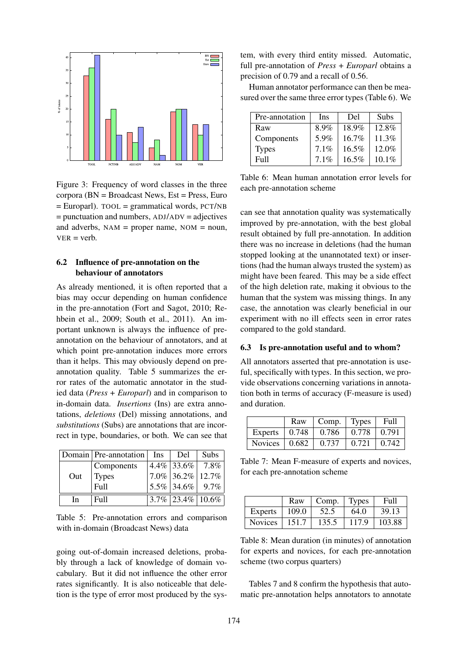

Figure 3: Frequency of word classes in the three corpora ( $BN = Broadcasting$ ) = Broadcast News,  $Est = Press$ , Euro  $=$  Europarl). TOOL  $=$  grammatical words, PCT/NB  $=$  punctuation and numbers,  $ADJ/ADV =$ adjectives and adverbs,  $NAM = proper name, NOM = noun,$  $VFR = v$ erb.

## 6.2 Influence of pre-annotation on the behaviour of annotators

As already mentioned, it is often reported that a bias may occur depending on human confidence in the pre-annotation (Fort and Sagot, 2010; Rehbein et al., 2009; South et al., 2011). An important unknown is always the influence of preannotation on the behaviour of annotators, and at which point pre-annotation induces more errors than it helps. This may obviously depend on preannotation quality. Table 5 summarizes the error rates of the automatic annotator in the studied data (*Press* + *Europarl*) and in comparison to in-domain data. *Insertions* (Ins) are extra annotations, *deletions* (Del) missing annotations, and *substitutions* (Subs) are annotations that are incorrect in type, boundaries, or both. We can see that

|     | Domain Pre-annotation Ins | Del                    | Subs |
|-----|---------------------------|------------------------|------|
|     | Components                | $4.4\%$ 33.6\% 7.8\%   |      |
| Out | <b>Types</b>              | $ 7.0\% 36.2\% 12.7\%$ |      |
|     | Full                      | $ 5.5\% 34.6\% 9.7\% $ |      |
| In. | Full                      | $3.7\%$ 23.4\% 10.6\%  |      |

Table 5: Pre-annotation errors and comparison with in-domain (Broadcast News) data

going out-of-domain increased deletions, probably through a lack of knowledge of domain vocabulary. But it did not influence the other error rates significantly. It is also noticeable that deletion is the type of error most produced by the system, with every third entity missed. Automatic, full pre-annotation of *Press* + *Europarl* obtains a precision of 0.79 and a recall of 0.56.

Human annotator performance can then be measured over the same three error types (Table 6). We

| Pre-annotation | <b>Ins</b> | Del   | Subs     |
|----------------|------------|-------|----------|
| Raw            | 8.9%       | 18.9% | $12.8\%$ |
| Components     | 5.9%       | 16.7% | 11.3%    |
| <b>Types</b>   | 7.1%       | 16.5% | 12.0%    |
| Full           | $7.1\%$    | 16.5% | $10.1\%$ |

Table 6: Mean human annotation error levels for each pre-annotation scheme

can see that annotation quality was systematically improved by pre-annotation, with the best global result obtained by full pre-annotation. In addition there was no increase in deletions (had the human stopped looking at the unannotated text) or insertions (had the human always trusted the system) as might have been feared. This may be a side effect of the high deletion rate, making it obvious to the human that the system was missing things. In any case, the annotation was clearly beneficial in our experiment with no ill effects seen in error rates compared to the gold standard.

#### 6.3 Is pre-annotation useful and to whom?

All annotators asserted that pre-annotation is useful, specifically with types. In this section, we provide observations concerning variations in annotation both in terms of accuracy (F-measure is used) and duration.

|                             | Raw                 | Comp. | <b>Types</b> | - Full |
|-----------------------------|---------------------|-------|--------------|--------|
| Experts                     | $\vert 0.748 \vert$ | 0.786 | 0.778        | 0.791  |
| Novices $\vert 0.682 \vert$ |                     | 0.737 | 0.721        | 0.742  |

Table 7: Mean F-measure of experts and novices, for each pre-annotation scheme

|                | Raw   | $\sim$ Comp. | Types | Full   |
|----------------|-------|--------------|-------|--------|
| Experts        | 109.0 | 52.5         | 64.0  | 39.13  |
| <b>Novices</b> | 151.7 | 135.5        | 117.9 | 103.88 |

Table 8: Mean duration (in minutes) of annotation for experts and novices, for each pre-annotation scheme (two corpus quarters)

Tables 7 and 8 confirm the hypothesis that automatic pre-annotation helps annotators to annotate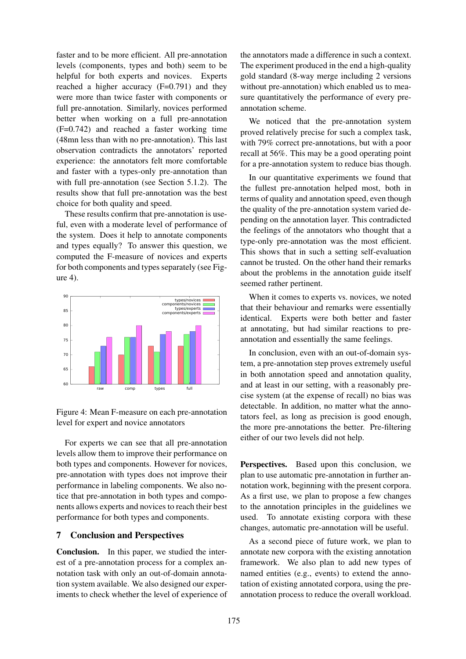faster and to be more efficient. All pre-annotation levels (components, types and both) seem to be helpful for both experts and novices. Experts reached a higher accuracy (F=0.791) and they were more than twice faster with components or full pre-annotation. Similarly, novices performed better when working on a full pre-annotation (F=0.742) and reached a faster working time (48mn less than with no pre-annotation). This last observation contradicts the annotators' reported experience: the annotators felt more comfortable and faster with a types-only pre-annotation than with full pre-annotation (see Section 5.1.2). The results show that full pre-annotation was the best choice for both quality and speed.

These results confirm that pre-annotation is useful, even with a moderate level of performance of the system. Does it help to annotate components and types equally? To answer this question, we computed the F-measure of novices and experts for both components and types separately (see Figure 4).





For experts we can see that all pre-annotation levels allow them to improve their performance on both types and components. However for novices, pre-annotation with types does not improve their performance in labeling components. We also notice that pre-annotation in both types and components allows experts and novices to reach their best performance for both types and components.

# 7 Conclusion and Perspectives

Conclusion. In this paper, we studied the interest of a pre-annotation process for a complex annotation task with only an out-of-domain annotation system available. We also designed our experiments to check whether the level of experience of the annotators made a difference in such a context. The experiment produced in the end a high-quality gold standard (8-way merge including 2 versions without pre-annotation) which enabled us to measure quantitatively the performance of every preannotation scheme.

We noticed that the pre-annotation system proved relatively precise for such a complex task, with 79% correct pre-annotations, but with a poor recall at 56%. This may be a good operating point for a pre-annotation system to reduce bias though.

In our quantitative experiments we found that the fullest pre-annotation helped most, both in terms of quality and annotation speed, even though the quality of the pre-annotation system varied depending on the annotation layer. This contradicted the feelings of the annotators who thought that a type-only pre-annotation was the most efficient. This shows that in such a setting self-evaluation cannot be trusted. On the other hand their remarks about the problems in the annotation guide itself seemed rather pertinent.

When it comes to experts vs. novices, we noted that their behaviour and remarks were essentially identical. Experts were both better and faster at annotating, but had similar reactions to preannotation and essentially the same feelings.

In conclusion, even with an out-of-domain system, a pre-annotation step proves extremely useful in both annotation speed and annotation quality, and at least in our setting, with a reasonably precise system (at the expense of recall) no bias was detectable. In addition, no matter what the annotators feel, as long as precision is good enough, the more pre-annotations the better. Pre-filtering either of our two levels did not help.

Perspectives. Based upon this conclusion, we plan to use automatic pre-annotation in further annotation work, beginning with the present corpora. As a first use, we plan to propose a few changes to the annotation principles in the guidelines we used. To annotate existing corpora with these changes, automatic pre-annotation will be useful.

As a second piece of future work, we plan to annotate new corpora with the existing annotation framework. We also plan to add new types of named entities (e.g., events) to extend the annotation of existing annotated corpora, using the preannotation process to reduce the overall workload.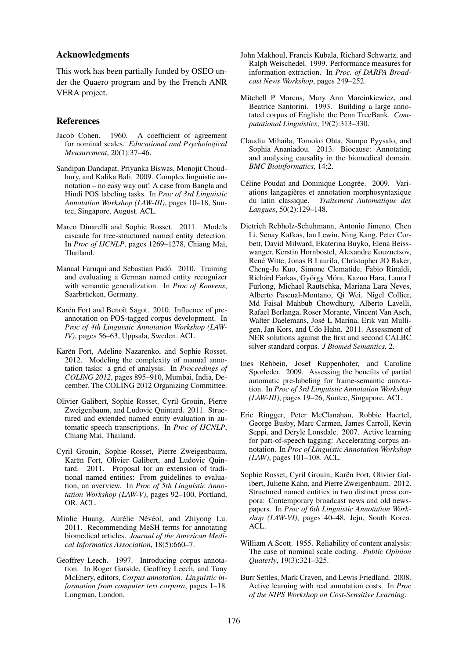#### Acknowledgments

This work has been partially funded by OSEO under the Quaero program and by the French ANR VERA project.

#### References

- Jacob Cohen. 1960. A coefficient of agreement for nominal scales. *Educational and Psychological Measurement*, 20(1):37–46.
- Sandipan Dandapat, Priyanka Biswas, Monojit Choudhury, and Kalika Bali. 2009. Complex linguistic annotation – no easy way out! A case from Bangla and Hindi POS labeling tasks. In *Proc of 3rd Linguistic Annotation Workshop (LAW-III)*, pages 10–18, Suntec, Singapore, August. ACL.
- Marco Dinarelli and Sophie Rosset. 2011. Models cascade for tree-structured named entity detection. In *Proc of IJCNLP*, pages 1269–1278, Chiang Mai, Thailand.
- Manaal Faruqui and Sebastian Padó. 2010. Training and evaluating a German named entity recognizer with semantic generalization. In *Proc of Konvens*, Saarbrücken, Germany.
- Karën Fort and Benoît Sagot. 2010. Influence of preannotation on POS-tagged corpus development. In *Proc of 4th Linguistic Annotation Workshop (LAW-IV)*, pages 56–63, Uppsala, Sweden. ACL.
- Karën Fort, Adeline Nazarenko, and Sophie Rosset. 2012. Modeling the complexity of manual annotation tasks: a grid of analysis. In *Proceedings of COLING 2012*, pages 895–910, Mumbai, India, December. The COLING 2012 Organizing Committee.
- Olivier Galibert, Sophie Rosset, Cyril Grouin, Pierre Zweigenbaum, and Ludovic Quintard. 2011. Structured and extended named entity evaluation in automatic speech transcriptions. In *Proc of IJCNLP*, Chiang Mai, Thailand.
- Cyril Grouin, Sophie Rosset, Pierre Zweigenbaum, Karën Fort, Olivier Galibert, and Ludovic Quintard. 2011. Proposal for an extension of traditional named entities: From guidelines to evaluation, an overview. In *Proc of 5th Linguistic Annotation Workshop (LAW-V)*, pages 92–100, Portland, OR. ACL.
- Minlie Huang, Aurélie Névéol, and Zhiyong Lu. 2011. Recommending MeSH terms for annotating biomedical articles. *Journal of the American Medical Informatics Association*, 18(5):660–7.
- Geoffrey Leech. 1997. Introducing corpus annotation. In Roger Garside, Geoffrey Leech, and Tony McEnery, editors, *Corpus annotation: Linguistic information from computer text corpora*, pages 1–18. Longman, London.
- John Makhoul, Francis Kubala, Richard Schwartz, and Ralph Weischedel. 1999. Performance measures for information extraction. In *Proc. of DARPA Broadcast News Workshop*, pages 249–252.
- Mitchell P Marcus, Mary Ann Marcinkiewicz, and Beatrice Santorini. 1993. Building a large annotated corpus of English: the Penn TreeBank. *Computational Linguistics*, 19(2):313–330.
- Claudiu Mihaila, Tomoko Ohta, Sampo Pyysalo, and Sophia Ananiadou. 2013. Biocause: Annotating and analysing causality in the biomedical domain. *BMC Bioinformatics*, 14:2.
- Céline Poudat and Doninique Longrée. 2009. Variations langagieres et annotation morphosyntaxique ` du latin classique. *Traitement Automatique des Langues*, 50(2):129–148.
- Dietrich Rebholz-Schuhmann, Antonio Jimeno, Chen Li, Senay Kafkas, Ian Lewin, Ning Kang, Peter Corbett, David Milward, Ekaterina Buyko, Elena Beisswanger, Kerstin Hornbostel, Alexandre Kouznetsov, René Witte, Jonas B Laurila, Christopher JO Baker, Cheng-Ju Kuo, Simone Clematide, Fabio Rinaldi, Richárd Farkas, György Móra, Kazuo Hara, Laura I Furlong, Michael Rautschka, Mariana Lara Neves, Alberto Pascual-Montano, Qi Wei, Nigel Collier, Md Faisal Mahbub Chowdhury, Alberto Lavelli, Rafael Berlanga, Roser Morante, Vincent Van Asch, Walter Daelemans, José L Marina, Erik van Mulligen, Jan Kors, and Udo Hahn. 2011. Assessment of NER solutions against the first and second CALBC silver standard corpus. *J Biomed Semantics*, 2.
- Ines Rehbein, Josef Ruppenhofer, and Caroline Sporleder. 2009. Assessing the benefits of partial automatic pre-labeling for frame-semantic annotation. In *Proc of 3rd Linguistic Annotation Workshop (LAW-III)*, pages 19–26, Suntec, Singapore. ACL.
- Eric Ringger, Peter McClanahan, Robbie Haertel, George Busby, Marc Carmen, James Carroll, Kevin Seppi, and Deryle Lonsdale. 2007. Active learning for part-of-speech tagging: Accelerating corpus annotation. In *Proc of Linguistic Annotation Workshop (LAW)*, pages 101–108. ACL.
- Sophie Rosset, Cyril Grouin, Karën Fort, Olivier Galibert, Juliette Kahn, and Pierre Zweigenbaum. 2012. Structured named entities in two distinct press corpora: Contemporary broadcast news and old newspapers. In *Proc of 6th Linguistic Annotation Workshop (LAW-VI)*, pages 40–48, Jeju, South Korea. ACL.
- William A Scott. 1955. Reliability of content analysis: The case of nominal scale coding. *Public Opinion Quaterly*, 19(3):321–325.
- Burr Settles, Mark Craven, and Lewis Friedland. 2008. Active learning with real annotation costs. In *Proc of the NIPS Workshop on Cost-Sensitive Learning*.